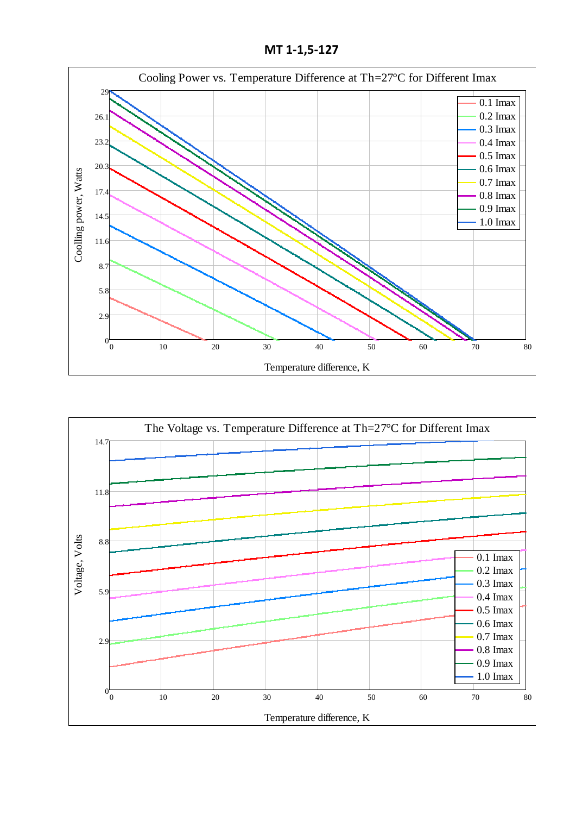**МТ 1-1,5-127**